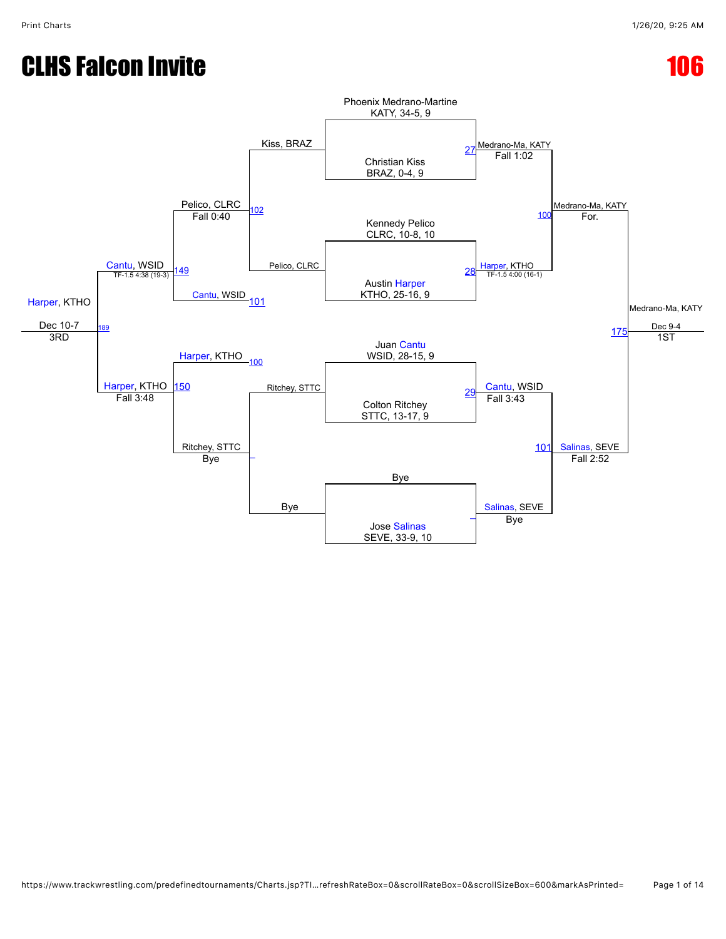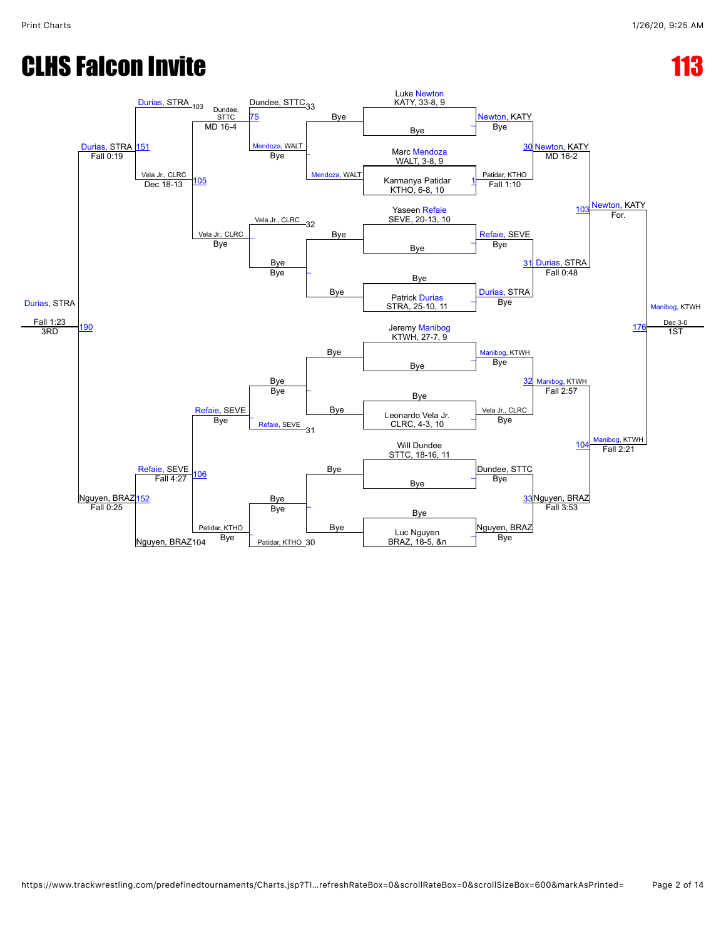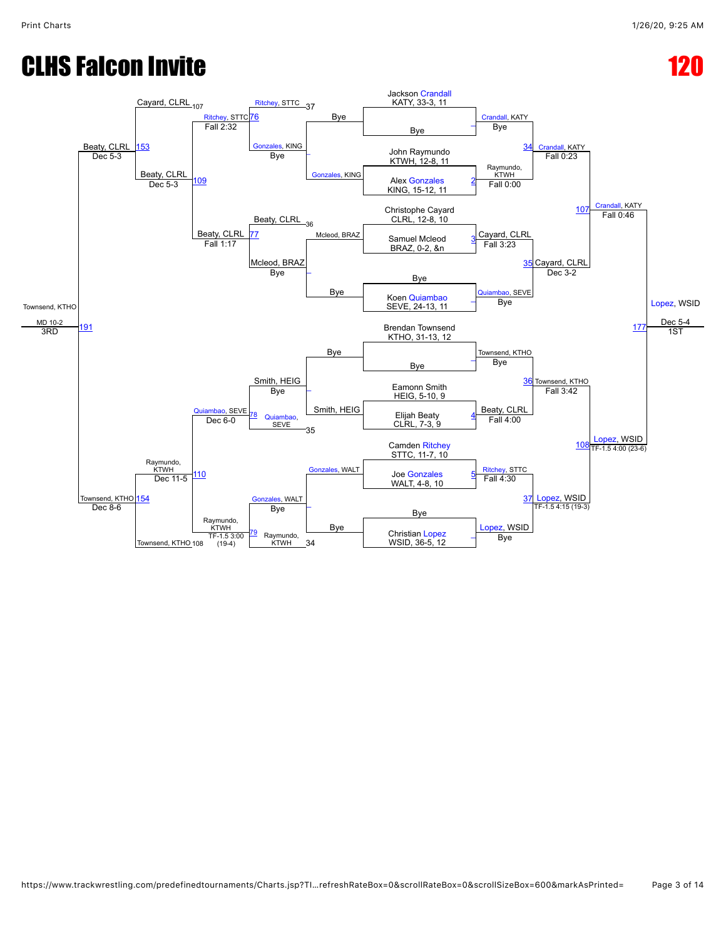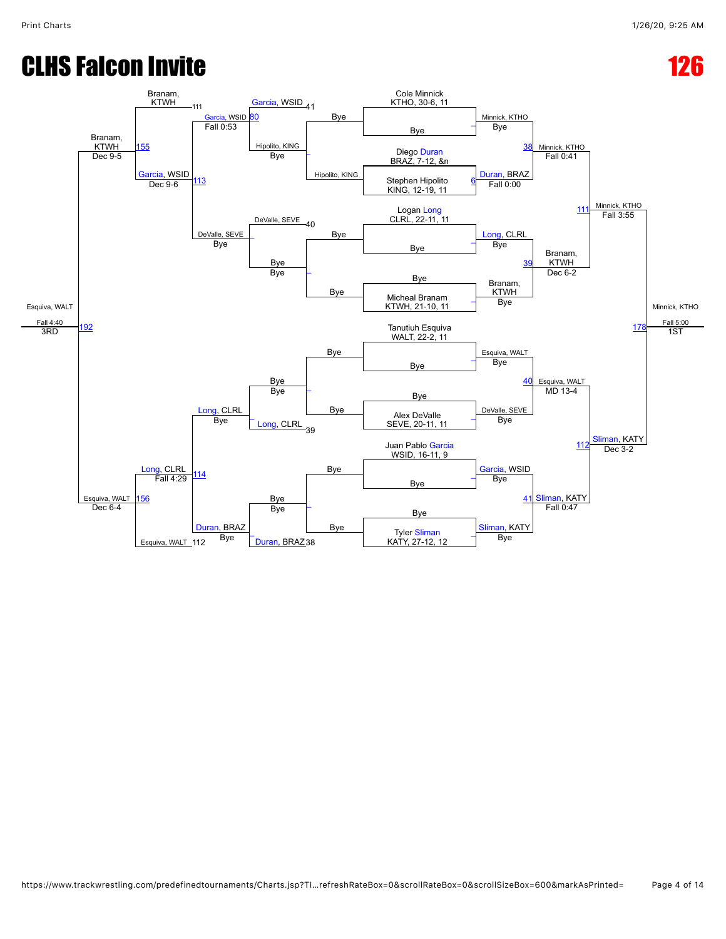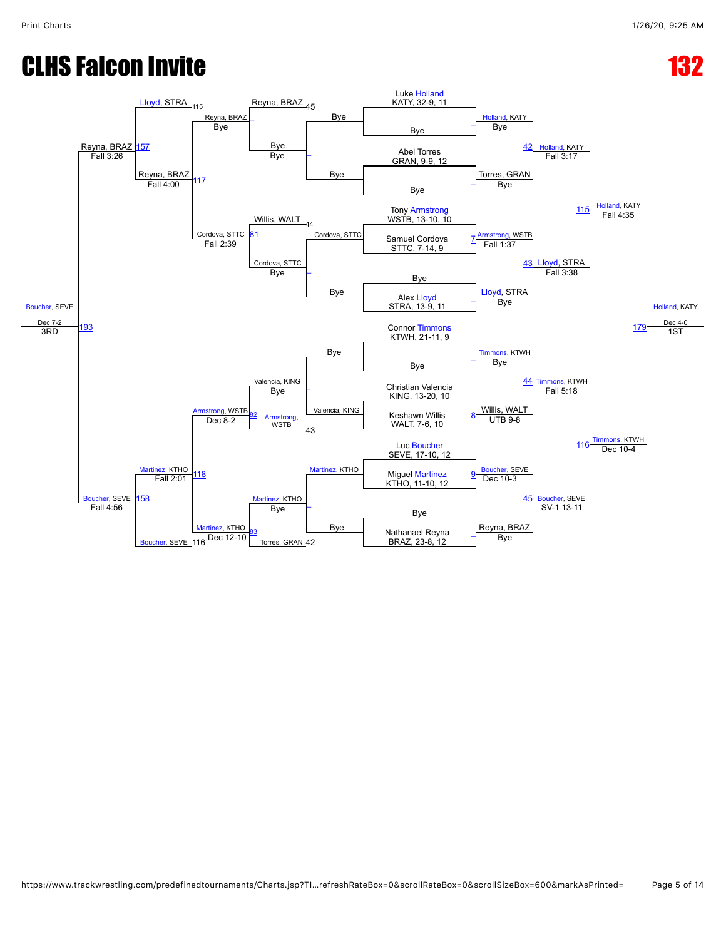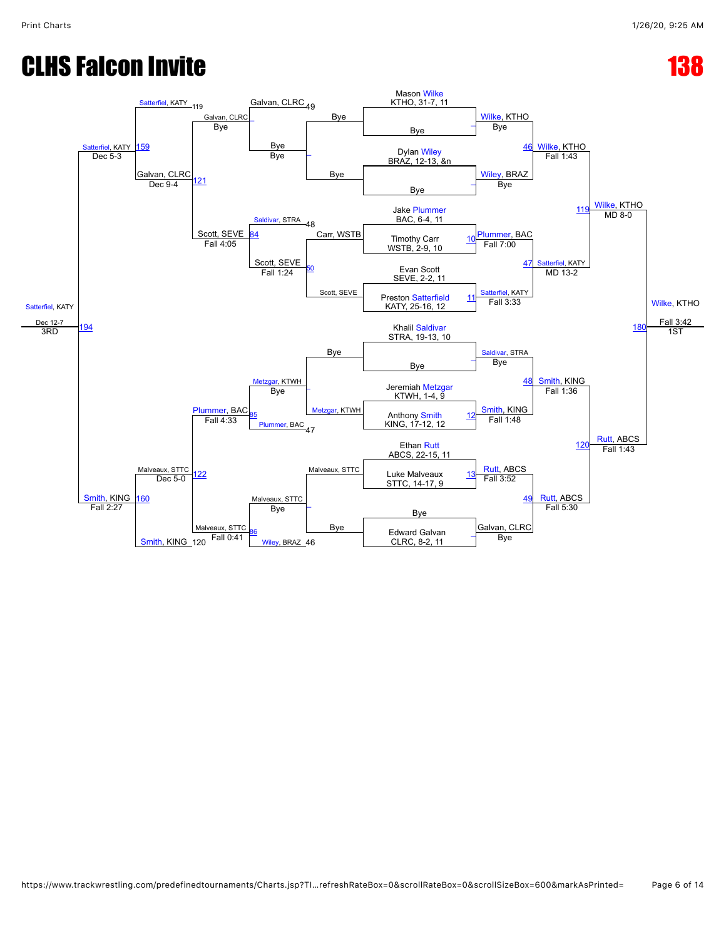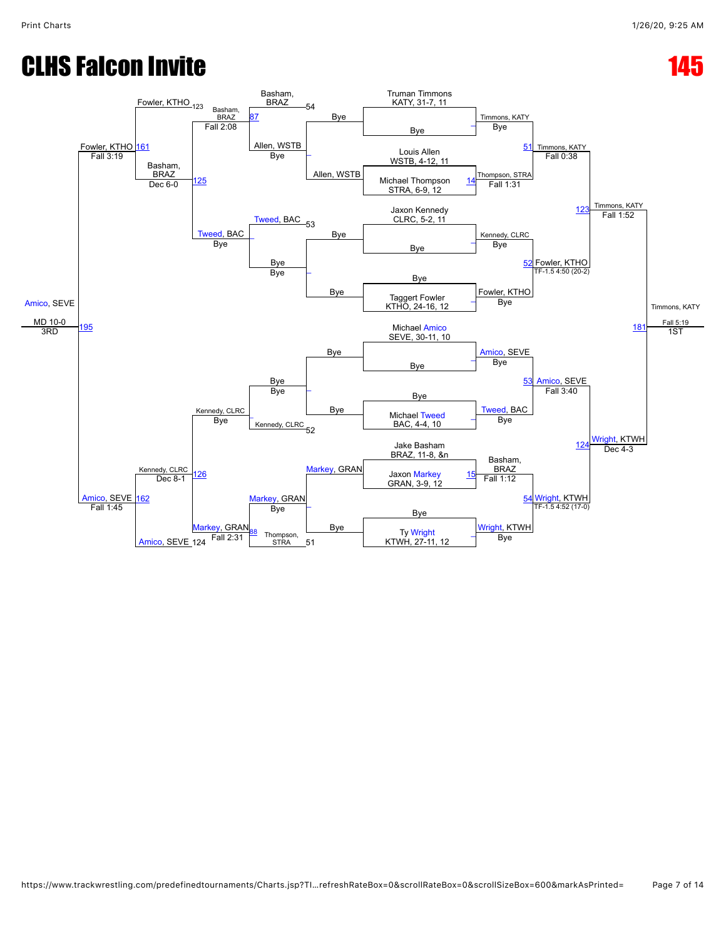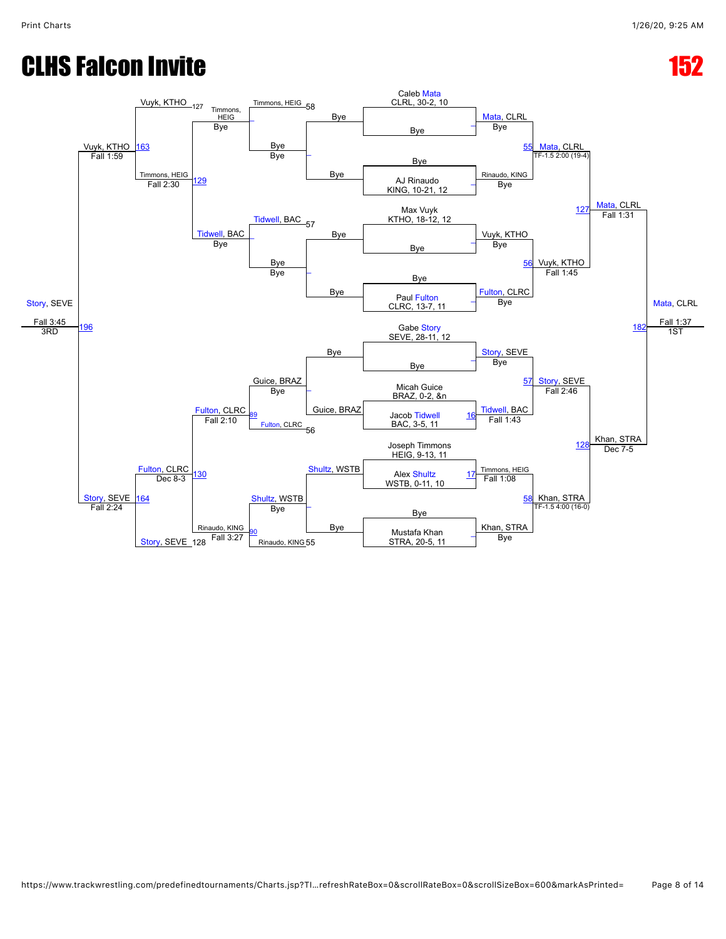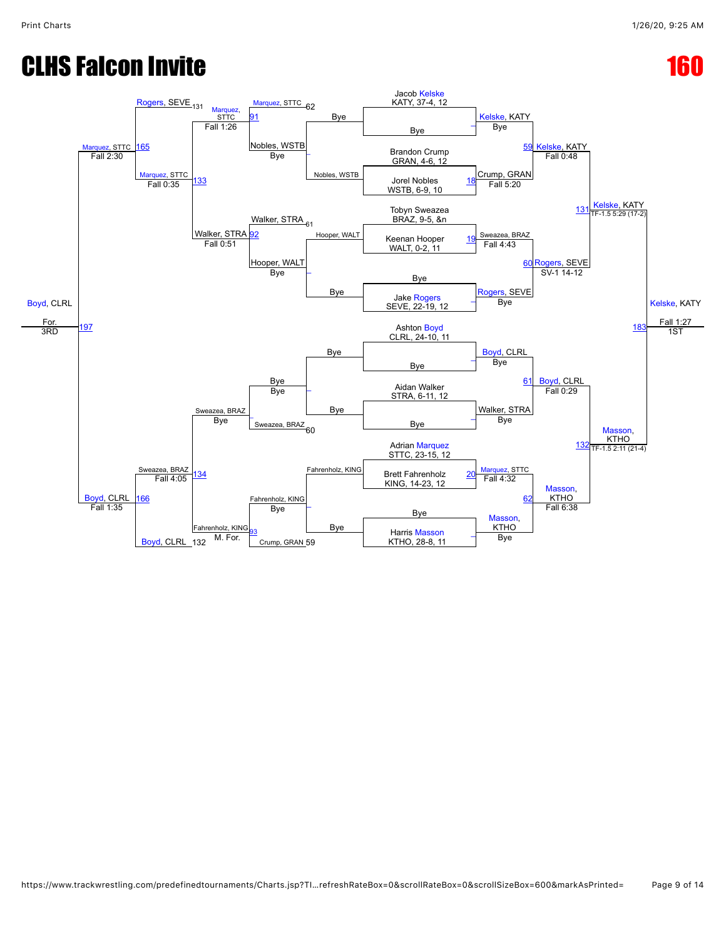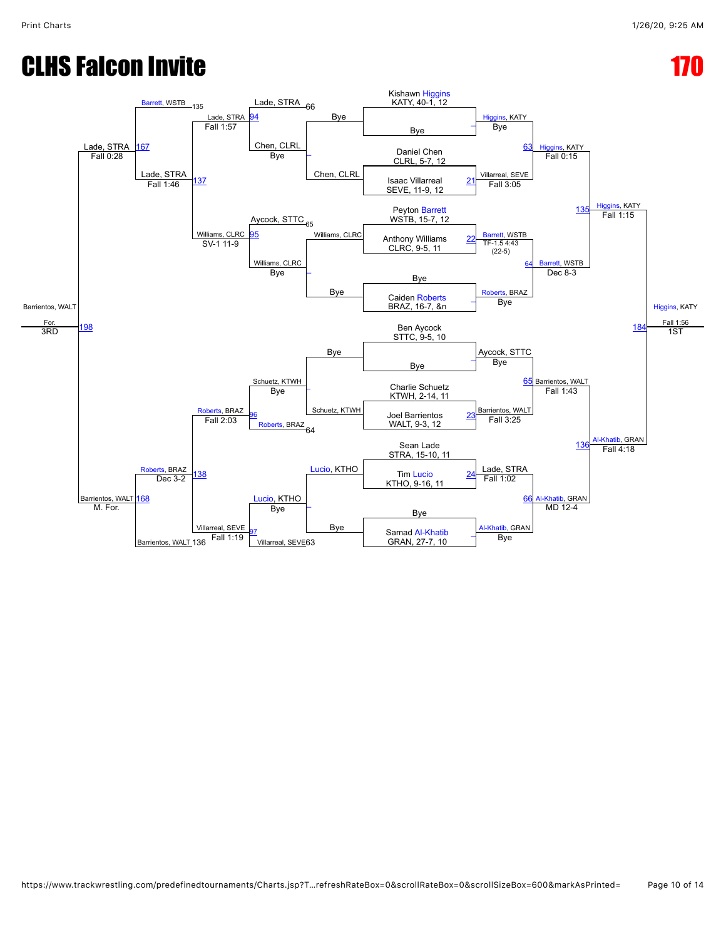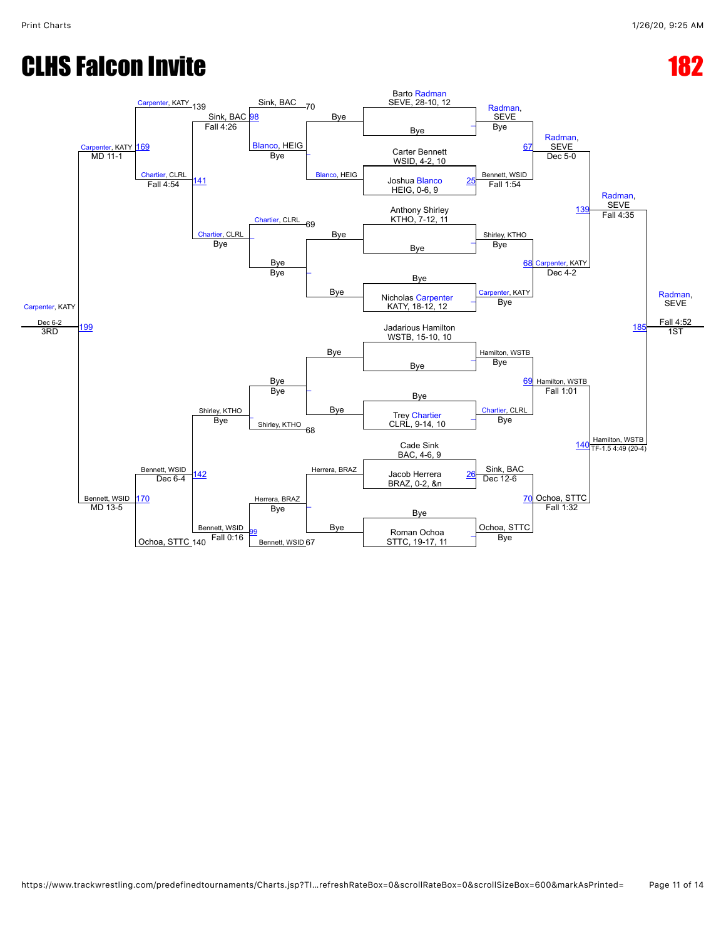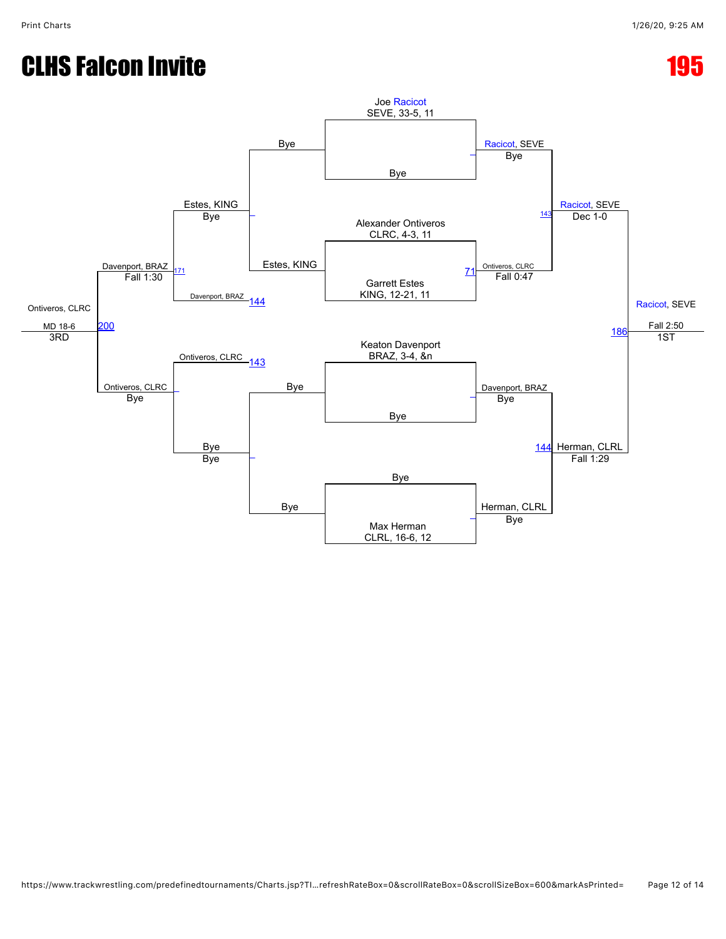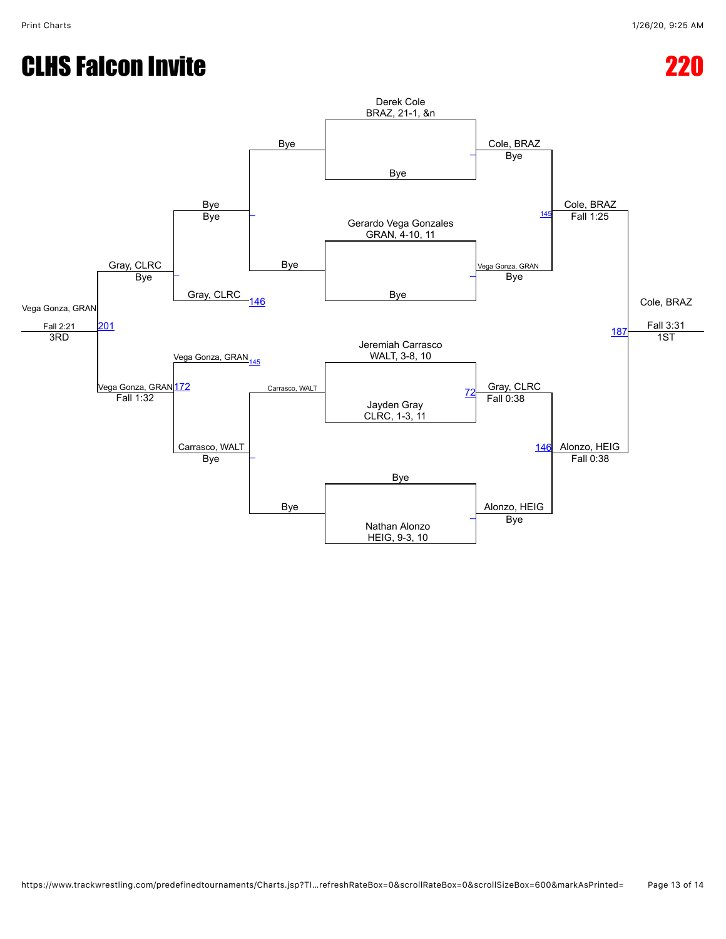